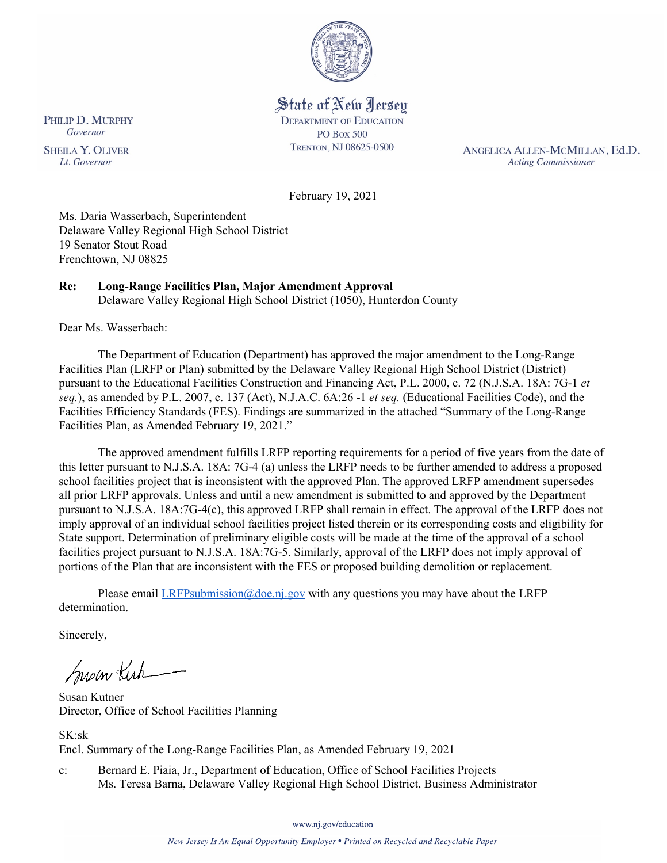

State of New Jersey **DEPARTMENT OF EDUCATION PO Box 500** TRENTON, NJ 08625-0500

ANGELICA ALLEN-MCMILLAN, Ed.D. **Acting Commissioner** 

February 19, 2021

Ms. Daria Wasserbach, Superintendent Delaware Valley Regional High School District 19 Senator Stout Road Frenchtown, NJ 08825

# **Re: Long-Range Facilities Plan, Major Amendment Approval**

Delaware Valley Regional High School District (1050), Hunterdon County

Dear Ms. Wasserbach:

The Department of Education (Department) has approved the major amendment to the Long-Range Facilities Plan (LRFP or Plan) submitted by the Delaware Valley Regional High School District (District) pursuant to the Educational Facilities Construction and Financing Act, P.L. 2000, c. 72 (N.J.S.A. 18A: 7G-1 *et seq.*), as amended by P.L. 2007, c. 137 (Act), N.J.A.C. 6A:26 -1 *et seq.* (Educational Facilities Code), and the Facilities Efficiency Standards (FES). Findings are summarized in the attached "Summary of the Long-Range Facilities Plan, as Amended February 19, 2021."

The approved amendment fulfills LRFP reporting requirements for a period of five years from the date of this letter pursuant to N.J.S.A. 18A: 7G-4 (a) unless the LRFP needs to be further amended to address a proposed school facilities project that is inconsistent with the approved Plan. The approved LRFP amendment supersedes all prior LRFP approvals. Unless and until a new amendment is submitted to and approved by the Department pursuant to N.J.S.A. 18A:7G-4(c), this approved LRFP shall remain in effect. The approval of the LRFP does not imply approval of an individual school facilities project listed therein or its corresponding costs and eligibility for State support. Determination of preliminary eligible costs will be made at the time of the approval of a school facilities project pursuant to N.J.S.A. 18A:7G-5. Similarly, approval of the LRFP does not imply approval of portions of the Plan that are inconsistent with the FES or proposed building demolition or replacement.

Please email  $LRFP submission@doe.nj.gov$  with any questions you may have about the LRFP determination.

Sincerely,

Susan Kich

Susan Kutner Director, Office of School Facilities Planning

SK:sk Encl. Summary of the Long-Range Facilities Plan, as Amended February 19, 2021

c: Bernard E. Piaia, Jr., Department of Education, Office of School Facilities Projects Ms. Teresa Barna, Delaware Valley Regional High School District, Business Administrator

www.nj.gov/education

PHILIP D. MURPHY Governor

**SHEILA Y. OLIVER** Lt. Governor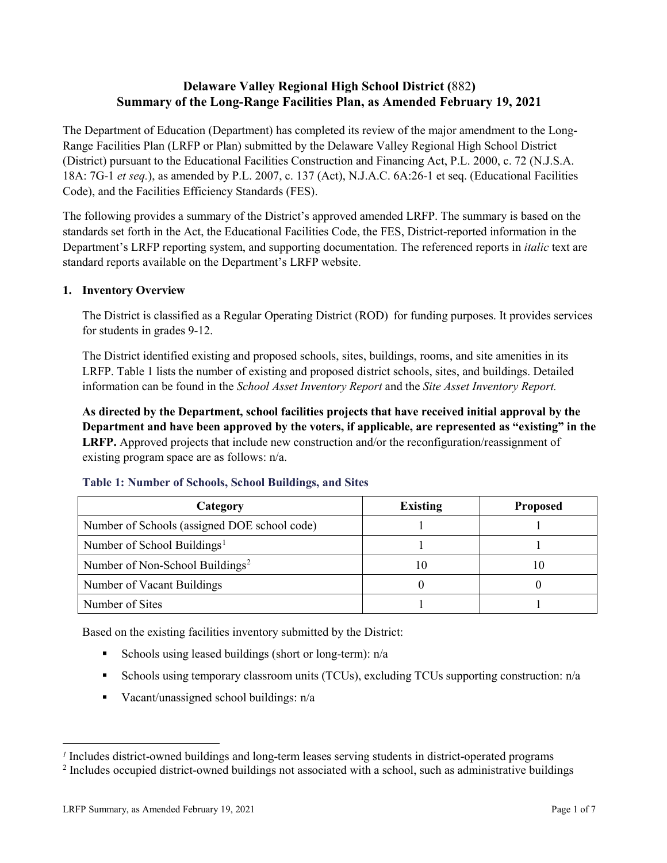## **Delaware Valley Regional High School District (**882**) Summary of the Long-Range Facilities Plan, as Amended February 19, 2021**

The Department of Education (Department) has completed its review of the major amendment to the Long-Range Facilities Plan (LRFP or Plan) submitted by the Delaware Valley Regional High School District (District) pursuant to the Educational Facilities Construction and Financing Act, P.L. 2000, c. 72 (N.J.S.A. 18A: 7G-1 *et seq.*), as amended by P.L. 2007, c. 137 (Act), N.J.A.C. 6A:26-1 et seq. (Educational Facilities Code), and the Facilities Efficiency Standards (FES).

The following provides a summary of the District's approved amended LRFP. The summary is based on the standards set forth in the Act, the Educational Facilities Code, the FES, District-reported information in the Department's LRFP reporting system, and supporting documentation. The referenced reports in *italic* text are standard reports available on the Department's LRFP website.

### **1. Inventory Overview**

The District is classified as a Regular Operating District (ROD) for funding purposes. It provides services for students in grades 9-12.

The District identified existing and proposed schools, sites, buildings, rooms, and site amenities in its LRFP. Table 1 lists the number of existing and proposed district schools, sites, and buildings. Detailed information can be found in the *School Asset Inventory Report* and the *Site Asset Inventory Report.*

**As directed by the Department, school facilities projects that have received initial approval by the Department and have been approved by the voters, if applicable, are represented as "existing" in the LRFP.** Approved projects that include new construction and/or the reconfiguration/reassignment of existing program space are as follows: n/a.

| Category                                     | <b>Existing</b> | <b>Proposed</b> |
|----------------------------------------------|-----------------|-----------------|
| Number of Schools (assigned DOE school code) |                 |                 |
| Number of School Buildings <sup>1</sup>      |                 |                 |
| Number of Non-School Buildings <sup>2</sup>  |                 | ГO              |
| Number of Vacant Buildings                   |                 |                 |
| Number of Sites                              |                 |                 |

#### **Table 1: Number of Schools, School Buildings, and Sites**

Based on the existing facilities inventory submitted by the District:

- Schools using leased buildings (short or long-term):  $n/a$
- Schools using temporary classroom units (TCUs), excluding TCUs supporting construction: n/a
- Vacant/unassigned school buildings:  $n/a$

 $\overline{a}$ 

<span id="page-1-1"></span><span id="page-1-0"></span>*<sup>1</sup>* Includes district-owned buildings and long-term leases serving students in district-operated programs

<sup>&</sup>lt;sup>2</sup> Includes occupied district-owned buildings not associated with a school, such as administrative buildings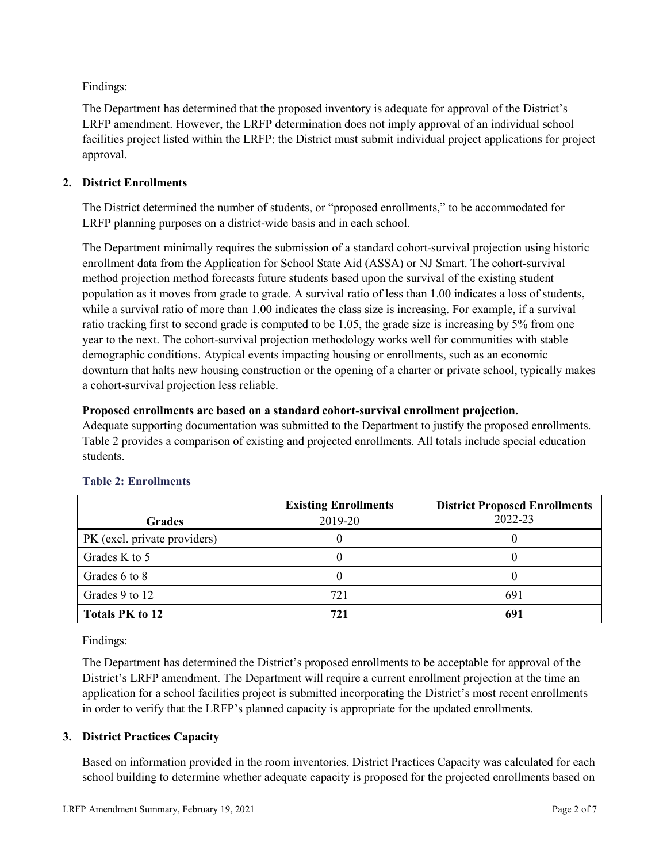Findings:

The Department has determined that the proposed inventory is adequate for approval of the District's LRFP amendment. However, the LRFP determination does not imply approval of an individual school facilities project listed within the LRFP; the District must submit individual project applications for project approval.

## **2. District Enrollments**

The District determined the number of students, or "proposed enrollments," to be accommodated for LRFP planning purposes on a district-wide basis and in each school.

The Department minimally requires the submission of a standard cohort-survival projection using historic enrollment data from the Application for School State Aid (ASSA) or NJ Smart. The cohort-survival method projection method forecasts future students based upon the survival of the existing student population as it moves from grade to grade. A survival ratio of less than 1.00 indicates a loss of students, while a survival ratio of more than 1.00 indicates the class size is increasing. For example, if a survival ratio tracking first to second grade is computed to be 1.05, the grade size is increasing by 5% from one year to the next. The cohort-survival projection methodology works well for communities with stable demographic conditions. Atypical events impacting housing or enrollments, such as an economic downturn that halts new housing construction or the opening of a charter or private school, typically makes a cohort-survival projection less reliable.

### **Proposed enrollments are based on a standard cohort-survival enrollment projection.**

Adequate supporting documentation was submitted to the Department to justify the proposed enrollments. Table 2 provides a comparison of existing and projected enrollments. All totals include special education students.

|                              | <b>Existing Enrollments</b> | <b>District Proposed Enrollments</b> |
|------------------------------|-----------------------------|--------------------------------------|
| <b>Grades</b>                | 2019-20                     | 2022-23                              |
| PK (excl. private providers) |                             |                                      |
| Grades K to 5                |                             |                                      |
| Grades 6 to 8                |                             |                                      |
| Grades 9 to 12               | 721                         | 691                                  |
| <b>Totals PK to 12</b>       | 721                         | 691                                  |

# **Table 2: Enrollments**

Findings:

The Department has determined the District's proposed enrollments to be acceptable for approval of the District's LRFP amendment. The Department will require a current enrollment projection at the time an application for a school facilities project is submitted incorporating the District's most recent enrollments in order to verify that the LRFP's planned capacity is appropriate for the updated enrollments.

# **3. District Practices Capacity**

Based on information provided in the room inventories, District Practices Capacity was calculated for each school building to determine whether adequate capacity is proposed for the projected enrollments based on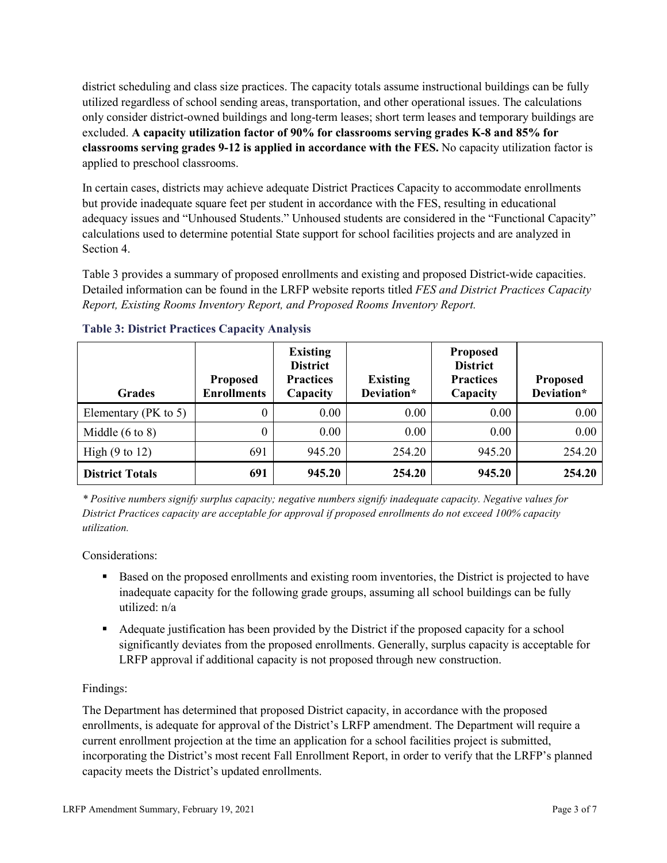district scheduling and class size practices. The capacity totals assume instructional buildings can be fully utilized regardless of school sending areas, transportation, and other operational issues. The calculations only consider district-owned buildings and long-term leases; short term leases and temporary buildings are excluded. **A capacity utilization factor of 90% for classrooms serving grades K-8 and 85% for classrooms serving grades 9-12 is applied in accordance with the FES.** No capacity utilization factor is applied to preschool classrooms.

In certain cases, districts may achieve adequate District Practices Capacity to accommodate enrollments but provide inadequate square feet per student in accordance with the FES, resulting in educational adequacy issues and "Unhoused Students." Unhoused students are considered in the "Functional Capacity" calculations used to determine potential State support for school facilities projects and are analyzed in Section 4.

Table 3 provides a summary of proposed enrollments and existing and proposed District-wide capacities. Detailed information can be found in the LRFP website reports titled *FES and District Practices Capacity Report, Existing Rooms Inventory Report, and Proposed Rooms Inventory Report.*

| <b>Grades</b>              | <b>Proposed</b><br><b>Enrollments</b> | <b>Existing</b><br><b>District</b><br><b>Practices</b><br>Capacity | <b>Existing</b><br>Deviation* | <b>Proposed</b><br><b>District</b><br><b>Practices</b><br>Capacity | <b>Proposed</b><br>Deviation* |
|----------------------------|---------------------------------------|--------------------------------------------------------------------|-------------------------------|--------------------------------------------------------------------|-------------------------------|
| Elementary ( $PK$ to 5)    | 0                                     | 0.00                                                               | 0.00                          | 0.00                                                               | 0.00                          |
| Middle $(6 \text{ to } 8)$ | 0                                     | 0.00                                                               | 0.00                          | 0.00                                                               | 0.00                          |
| High $(9 \text{ to } 12)$  | 691                                   | 945.20                                                             | 254.20                        | 945.20                                                             | 254.20                        |
| <b>District Totals</b>     | 691                                   | 945.20                                                             | 254.20                        | 945.20                                                             | 254.20                        |

### **Table 3: District Practices Capacity Analysis**

*\* Positive numbers signify surplus capacity; negative numbers signify inadequate capacity. Negative values for District Practices capacity are acceptable for approval if proposed enrollments do not exceed 100% capacity utilization.*

Considerations:

- Based on the proposed enrollments and existing room inventories, the District is projected to have inadequate capacity for the following grade groups, assuming all school buildings can be fully utilized: n/a
- Adequate justification has been provided by the District if the proposed capacity for a school significantly deviates from the proposed enrollments. Generally, surplus capacity is acceptable for LRFP approval if additional capacity is not proposed through new construction.

### Findings:

The Department has determined that proposed District capacity, in accordance with the proposed enrollments, is adequate for approval of the District's LRFP amendment. The Department will require a current enrollment projection at the time an application for a school facilities project is submitted, incorporating the District's most recent Fall Enrollment Report, in order to verify that the LRFP's planned capacity meets the District's updated enrollments.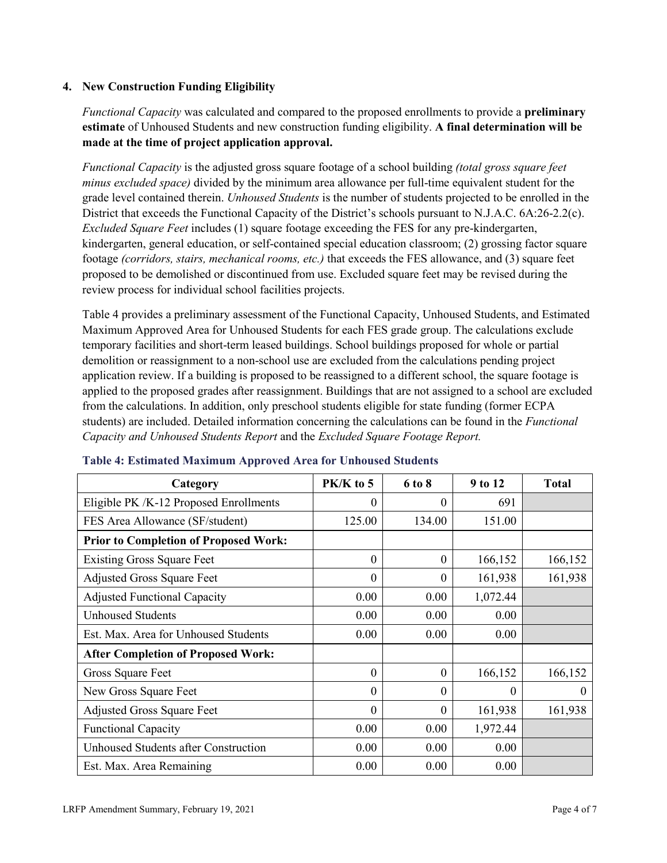### **4. New Construction Funding Eligibility**

*Functional Capacity* was calculated and compared to the proposed enrollments to provide a **preliminary estimate** of Unhoused Students and new construction funding eligibility. **A final determination will be made at the time of project application approval.**

*Functional Capacity* is the adjusted gross square footage of a school building *(total gross square feet minus excluded space)* divided by the minimum area allowance per full-time equivalent student for the grade level contained therein. *Unhoused Students* is the number of students projected to be enrolled in the District that exceeds the Functional Capacity of the District's schools pursuant to N.J.A.C. 6A:26-2.2(c). *Excluded Square Feet* includes (1) square footage exceeding the FES for any pre-kindergarten, kindergarten, general education, or self-contained special education classroom; (2) grossing factor square footage *(corridors, stairs, mechanical rooms, etc.)* that exceeds the FES allowance, and (3) square feet proposed to be demolished or discontinued from use. Excluded square feet may be revised during the review process for individual school facilities projects.

Table 4 provides a preliminary assessment of the Functional Capacity, Unhoused Students, and Estimated Maximum Approved Area for Unhoused Students for each FES grade group. The calculations exclude temporary facilities and short-term leased buildings. School buildings proposed for whole or partial demolition or reassignment to a non-school use are excluded from the calculations pending project application review. If a building is proposed to be reassigned to a different school, the square footage is applied to the proposed grades after reassignment. Buildings that are not assigned to a school are excluded from the calculations. In addition, only preschool students eligible for state funding (former ECPA students) are included. Detailed information concerning the calculations can be found in the *Functional Capacity and Unhoused Students Report* and the *Excluded Square Footage Report.*

| Category                                     | PK/K to 5        | 6 to 8   | 9 to 12  | <b>Total</b> |
|----------------------------------------------|------------------|----------|----------|--------------|
| Eligible PK /K-12 Proposed Enrollments       | $\theta$         | 0        | 691      |              |
| FES Area Allowance (SF/student)              | 125.00           | 134.00   | 151.00   |              |
| <b>Prior to Completion of Proposed Work:</b> |                  |          |          |              |
| <b>Existing Gross Square Feet</b>            | $\theta$         | $\theta$ | 166,152  | 166,152      |
| <b>Adjusted Gross Square Feet</b>            | $\boldsymbol{0}$ | $\theta$ | 161,938  | 161,938      |
| <b>Adjusted Functional Capacity</b>          | 0.00             | 0.00     | 1,072.44 |              |
| <b>Unhoused Students</b>                     | 0.00             | 0.00     | 0.00     |              |
| Est. Max. Area for Unhoused Students         | 0.00             | 0.00     | 0.00     |              |
| <b>After Completion of Proposed Work:</b>    |                  |          |          |              |
| Gross Square Feet                            | $\theta$         | $\theta$ | 166,152  | 166,152      |
| New Gross Square Feet                        | $\theta$         | $\Omega$ | $\Omega$ | $\Omega$     |
| <b>Adjusted Gross Square Feet</b>            | $\Omega$         | $\Omega$ | 161,938  | 161,938      |
| <b>Functional Capacity</b>                   | 0.00             | 0.00     | 1,972.44 |              |
| <b>Unhoused Students after Construction</b>  | 0.00             | 0.00     | 0.00     |              |
| Est. Max. Area Remaining                     | 0.00             | 0.00     | 0.00     |              |

#### **Table 4: Estimated Maximum Approved Area for Unhoused Students**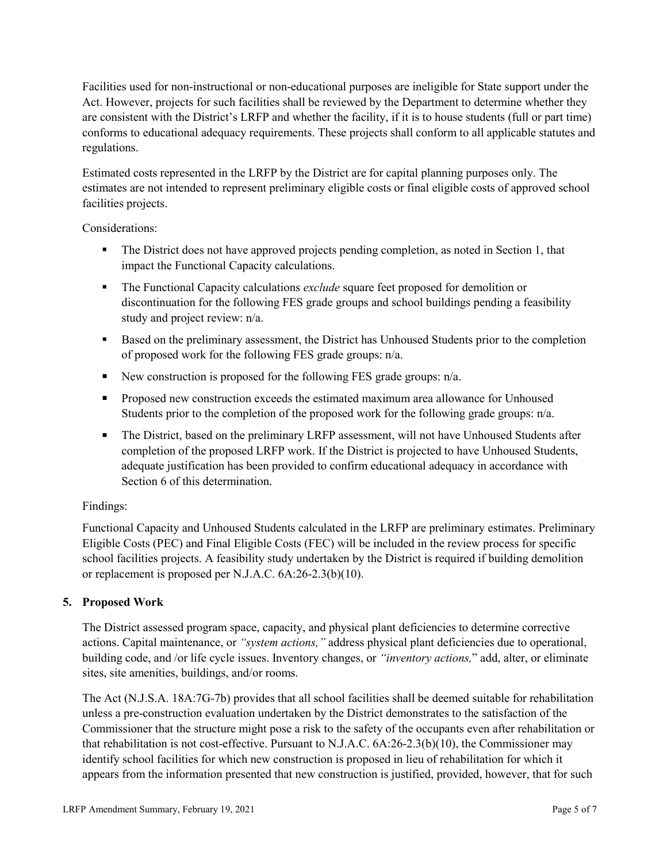Facilities used for non-instructional or non-educational purposes are ineligible for State support under the Act. However, projects for such facilities shall be reviewed by the Department to determine whether they are consistent with the District's LRFP and whether the facility, if it is to house students (full or part time) conforms to educational adequacy requirements. These projects shall conform to all applicable statutes and regulations.

Estimated costs represented in the LRFP by the District are for capital planning purposes only. The estimates are not intended to represent preliminary eligible costs or final eligible costs of approved school facilities projects.

Considerations:

- The District does not have approved projects pending completion, as noted in Section 1, that impact the Functional Capacity calculations.
- **The Functional Capacity calculations** *exclude* square feet proposed for demolition or discontinuation for the following FES grade groups and school buildings pending a feasibility study and project review: n/a.
- Based on the preliminary assessment, the District has Unhoused Students prior to the completion of proposed work for the following FES grade groups: n/a.
- New construction is proposed for the following FES grade groups: n/a.
- Proposed new construction exceeds the estimated maximum area allowance for Unhoused Students prior to the completion of the proposed work for the following grade groups: n/a.
- The District, based on the preliminary LRFP assessment, will not have Unhoused Students after completion of the proposed LRFP work. If the District is projected to have Unhoused Students, adequate justification has been provided to confirm educational adequacy in accordance with Section 6 of this determination.

### Findings:

Functional Capacity and Unhoused Students calculated in the LRFP are preliminary estimates. Preliminary Eligible Costs (PEC) and Final Eligible Costs (FEC) will be included in the review process for specific school facilities projects. A feasibility study undertaken by the District is required if building demolition or replacement is proposed per N.J.A.C. 6A:26-2.3(b)(10).

### **5. Proposed Work**

The District assessed program space, capacity, and physical plant deficiencies to determine corrective actions. Capital maintenance, or *"system actions,"* address physical plant deficiencies due to operational, building code, and /or life cycle issues. Inventory changes, or *"inventory actions,*" add, alter, or eliminate sites, site amenities, buildings, and/or rooms.

The Act (N.J.S.A. 18A:7G-7b) provides that all school facilities shall be deemed suitable for rehabilitation unless a pre-construction evaluation undertaken by the District demonstrates to the satisfaction of the Commissioner that the structure might pose a risk to the safety of the occupants even after rehabilitation or that rehabilitation is not cost-effective. Pursuant to N.J.A.C. 6A:26-2.3(b)(10), the Commissioner may identify school facilities for which new construction is proposed in lieu of rehabilitation for which it appears from the information presented that new construction is justified, provided, however, that for such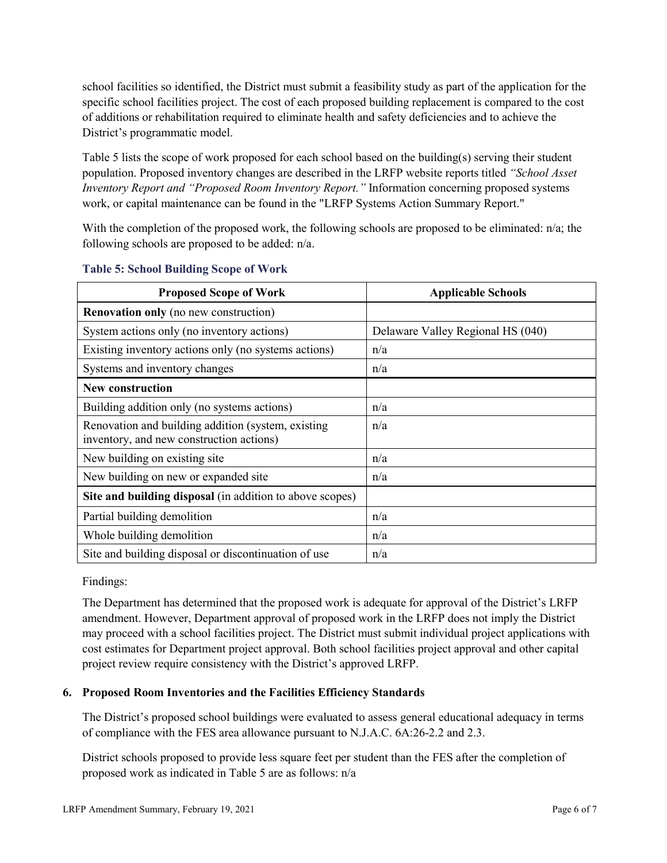school facilities so identified, the District must submit a feasibility study as part of the application for the specific school facilities project. The cost of each proposed building replacement is compared to the cost of additions or rehabilitation required to eliminate health and safety deficiencies and to achieve the District's programmatic model.

Table 5 lists the scope of work proposed for each school based on the building(s) serving their student population. Proposed inventory changes are described in the LRFP website reports titled *"School Asset Inventory Report and "Proposed Room Inventory Report."* Information concerning proposed systems work, or capital maintenance can be found in the "LRFP Systems Action Summary Report."

With the completion of the proposed work, the following schools are proposed to be eliminated: n/a; the following schools are proposed to be added: n/a.

| <b>Proposed Scope of Work</b>                                                                  | <b>Applicable Schools</b>         |
|------------------------------------------------------------------------------------------------|-----------------------------------|
| <b>Renovation only</b> (no new construction)                                                   |                                   |
| System actions only (no inventory actions)                                                     | Delaware Valley Regional HS (040) |
| Existing inventory actions only (no systems actions)                                           | n/a                               |
| Systems and inventory changes                                                                  | n/a                               |
| <b>New construction</b>                                                                        |                                   |
| Building addition only (no systems actions)                                                    | n/a                               |
| Renovation and building addition (system, existing<br>inventory, and new construction actions) | n/a                               |
| New building on existing site                                                                  | n/a                               |
| New building on new or expanded site                                                           | n/a                               |
| Site and building disposal (in addition to above scopes)                                       |                                   |
| Partial building demolition                                                                    | n/a                               |
| Whole building demolition                                                                      | n/a                               |
| Site and building disposal or discontinuation of use                                           | n/a                               |

#### **Table 5: School Building Scope of Work**

Findings:

The Department has determined that the proposed work is adequate for approval of the District's LRFP amendment. However, Department approval of proposed work in the LRFP does not imply the District may proceed with a school facilities project. The District must submit individual project applications with cost estimates for Department project approval. Both school facilities project approval and other capital project review require consistency with the District's approved LRFP.

### **6. Proposed Room Inventories and the Facilities Efficiency Standards**

The District's proposed school buildings were evaluated to assess general educational adequacy in terms of compliance with the FES area allowance pursuant to N.J.A.C. 6A:26-2.2 and 2.3.

District schools proposed to provide less square feet per student than the FES after the completion of proposed work as indicated in Table 5 are as follows: n/a